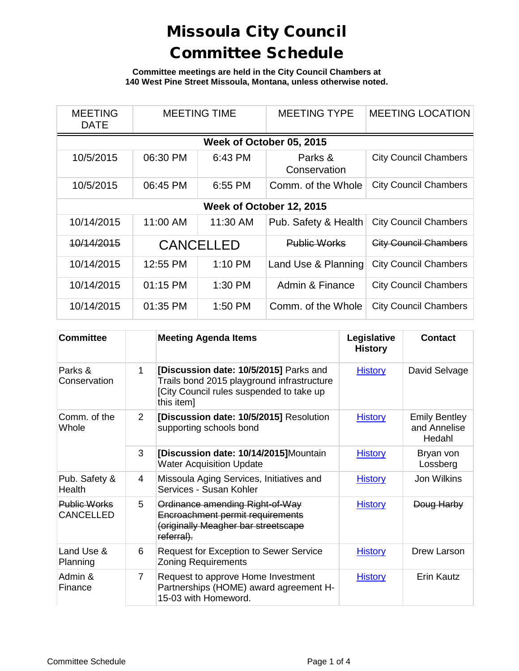**Committee meetings are held in the City Council Chambers at 140 West Pine Street Missoula, Montana, unless otherwise noted.**

| <b>MEETING</b><br><b>DATE</b> | <b>MEETING TIME</b> |                  | <b>MEETING TYPE</b>     | <b>MEETING LOCATION</b>      |  |  |
|-------------------------------|---------------------|------------------|-------------------------|------------------------------|--|--|
| Week of October 05, 2015      |                     |                  |                         |                              |  |  |
| 10/5/2015                     | 06:30 PM            | 6:43 PM          | Parks &<br>Conservation | <b>City Council Chambers</b> |  |  |
| 10/5/2015                     | 06:45 PM            | 6:55 PM          | Comm. of the Whole      | <b>City Council Chambers</b> |  |  |
| Week of October 12, 2015      |                     |                  |                         |                              |  |  |
| 10/14/2015                    | 11:00 AM            | 11:30 AM         | Pub. Safety & Health    | <b>City Council Chambers</b> |  |  |
| 10/14/2015                    |                     | <b>CANCELLED</b> | <b>Public Works</b>     | <b>City Council Chambers</b> |  |  |
| 10/14/2015                    | 12:55 PM            | 1:10 PM          | Land Use & Planning     | <b>City Council Chambers</b> |  |  |
| 10/14/2015                    | 01:15 PM            | 1:30 PM          | Admin & Finance         | <b>City Council Chambers</b> |  |  |
| 10/14/2015                    | 01:35 PM            | 1:50 PM          | Comm. of the Whole      | <b>City Council Chambers</b> |  |  |

| <b>Committee</b>                        |                | <b>Meeting Agenda Items</b>                                                                                                                    | Legislative<br><b>History</b> | <b>Contact</b>                                 |
|-----------------------------------------|----------------|------------------------------------------------------------------------------------------------------------------------------------------------|-------------------------------|------------------------------------------------|
| Parks &<br>Conservation                 | 1              | [Discussion date: 10/5/2015] Parks and<br>Trails bond 2015 playground infrastructure<br>[City Council rules suspended to take up<br>this item] | <b>History</b>                | David Selvage                                  |
| Comm. of the<br>Whole                   | $\mathcal{P}$  | [Discussion date: 10/5/2015] Resolution<br>supporting schools bond                                                                             | <b>History</b>                | <b>Emily Bentley</b><br>and Annelise<br>Hedahl |
|                                         | 3              | [Discussion date: 10/14/2015]Mountain<br><b>Water Acquisition Update</b>                                                                       | <b>History</b>                | Bryan von<br>Lossberg                          |
| Pub. Safety &<br>Health                 | 4              | Missoula Aging Services, Initiatives and<br>Services - Susan Kohler                                                                            | <b>History</b>                | Jon Wilkins                                    |
| <b>Public Works</b><br><b>CANCELLED</b> | 5              | Ordinance amending Right-of-Way<br>Encroachment permit requirements<br>(originally Meagher bar streetscape<br>referral).                       | <b>History</b>                | Doug Harby                                     |
| Land Use &<br>Planning                  | 6              | <b>Request for Exception to Sewer Service</b><br><b>Zoning Requirements</b>                                                                    | <b>History</b>                | Drew Larson                                    |
| Admin &<br>Finance                      | $\overline{7}$ | Request to approve Home Investment<br>Partnerships (HOME) award agreement H-<br>15-03 with Homeword.                                           | <b>History</b>                | Erin Kautz                                     |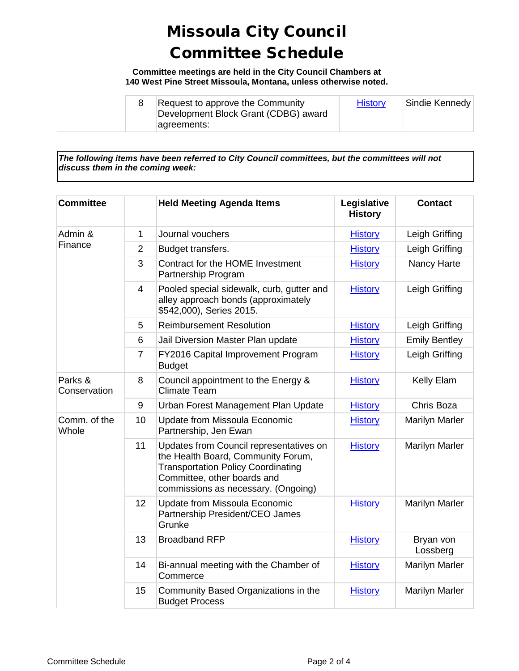**Committee meetings are held in the City Council Chambers at 140 West Pine Street Missoula, Montana, unless otherwise noted.**

|  |  | Request to approve the Community<br>Development Block Grant (CDBG) award<br> agreements: | <b>History</b> | Sindie Kennedy |
|--|--|------------------------------------------------------------------------------------------|----------------|----------------|
|--|--|------------------------------------------------------------------------------------------|----------------|----------------|

*The following items have been referred to City Council committees, but the committees will not discuss them in the coming week:*

| <b>Committee</b>        |                | <b>Held Meeting Agenda Items</b>                                                                                                                                                                 | Legislative<br><b>History</b> | <b>Contact</b>        |
|-------------------------|----------------|--------------------------------------------------------------------------------------------------------------------------------------------------------------------------------------------------|-------------------------------|-----------------------|
| Admin &<br>Finance      | $\mathbf{1}$   | Journal vouchers                                                                                                                                                                                 | <b>History</b>                | Leigh Griffing        |
|                         | $\overline{2}$ | Budget transfers.                                                                                                                                                                                | <b>History</b>                | Leigh Griffing        |
|                         | 3              | Contract for the HOME Investment<br>Partnership Program                                                                                                                                          | <b>History</b>                | Nancy Harte           |
|                         | $\overline{4}$ | Pooled special sidewalk, curb, gutter and<br>alley approach bonds (approximately<br>\$542,000), Series 2015.                                                                                     | <b>History</b>                | Leigh Griffing        |
|                         | 5              | <b>Reimbursement Resolution</b>                                                                                                                                                                  | <b>History</b>                | Leigh Griffing        |
|                         | 6              | Jail Diversion Master Plan update                                                                                                                                                                | <b>History</b>                | <b>Emily Bentley</b>  |
|                         | $\overline{7}$ | FY2016 Capital Improvement Program<br><b>Budget</b>                                                                                                                                              | <b>History</b>                | Leigh Griffing        |
| Parks &<br>Conservation | 8              | Council appointment to the Energy &<br><b>Climate Team</b>                                                                                                                                       | <b>History</b>                | Kelly Elam            |
|                         | 9              | Urban Forest Management Plan Update                                                                                                                                                              | <b>History</b>                | Chris Boza            |
| Comm. of the<br>Whole   | 10             | <b>Update from Missoula Economic</b><br>Partnership, Jen Ewan                                                                                                                                    | <b>History</b>                | <b>Marilyn Marler</b> |
|                         | 11             | Updates from Council representatives on<br>the Health Board, Community Forum,<br><b>Transportation Policy Coordinating</b><br>Committee, other boards and<br>commissions as necessary. (Ongoing) | <b>History</b>                | <b>Marilyn Marler</b> |
|                         | 12             | <b>Update from Missoula Economic</b><br>Partnership President/CEO James<br>Grunke                                                                                                                | <b>History</b>                | <b>Marilyn Marler</b> |
|                         | 13             | <b>Broadband RFP</b>                                                                                                                                                                             | <b>History</b>                | Bryan von<br>Lossberg |
|                         | 14             | Bi-annual meeting with the Chamber of<br>Commerce                                                                                                                                                | <b>History</b>                | Marilyn Marler        |
|                         | 15             | Community Based Organizations in the<br><b>Budget Process</b>                                                                                                                                    | <b>History</b>                | <b>Marilyn Marler</b> |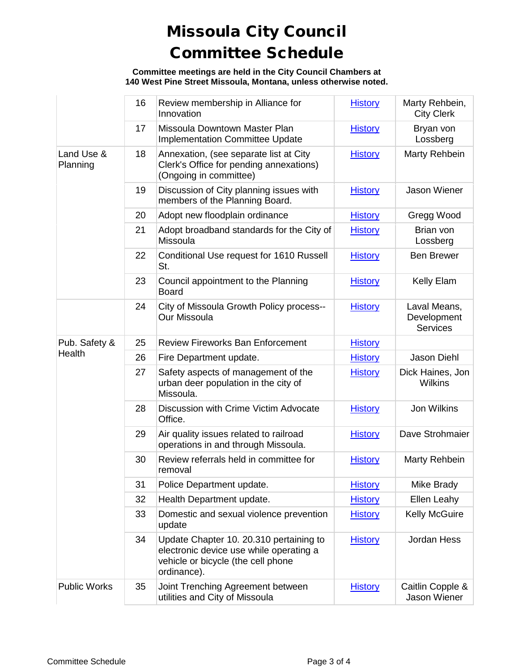**Committee meetings are held in the City Council Chambers at 140 West Pine Street Missoula, Montana, unless otherwise noted.**

|                        | 16 | Review membership in Alliance for<br>Innovation                                                                                         | <b>History</b> | Marty Rehbein,<br><b>City Clerk</b>            |
|------------------------|----|-----------------------------------------------------------------------------------------------------------------------------------------|----------------|------------------------------------------------|
|                        | 17 | Missoula Downtown Master Plan<br><b>Implementation Committee Update</b>                                                                 | <b>History</b> | Bryan von<br>Lossberg                          |
| Land Use &<br>Planning | 18 | Annexation, (see separate list at City<br>Clerk's Office for pending annexations)<br>(Ongoing in committee)                             | <b>History</b> | Marty Rehbein                                  |
|                        | 19 | Discussion of City planning issues with<br>members of the Planning Board.                                                               | <b>History</b> | Jason Wiener                                   |
|                        | 20 | Adopt new floodplain ordinance                                                                                                          | <b>History</b> | Gregg Wood                                     |
|                        | 21 | Adopt broadband standards for the City of<br>Missoula                                                                                   | <b>History</b> | Brian von<br>Lossberg                          |
|                        | 22 | Conditional Use request for 1610 Russell<br>St.                                                                                         | <b>History</b> | <b>Ben Brewer</b>                              |
|                        | 23 | Council appointment to the Planning<br><b>Board</b>                                                                                     | <b>History</b> | Kelly Elam                                     |
|                        | 24 | City of Missoula Growth Policy process--<br>Our Missoula                                                                                | <b>History</b> | Laval Means,<br>Development<br><b>Services</b> |
| Pub. Safety &          | 25 | <b>Review Fireworks Ban Enforcement</b>                                                                                                 | <b>History</b> |                                                |
| Health                 | 26 | Fire Department update.                                                                                                                 | <b>History</b> | Jason Diehl                                    |
|                        | 27 | Safety aspects of management of the<br>urban deer population in the city of<br>Missoula.                                                | <b>History</b> | Dick Haines, Jon<br><b>Wilkins</b>             |
|                        | 28 | Discussion with Crime Victim Advocate<br>Office.                                                                                        | <b>History</b> | Jon Wilkins                                    |
|                        | 29 | Air quality issues related to railroad<br>operations in and through Missoula.                                                           | <b>History</b> | Dave Strohmaier                                |
|                        | 30 | Review referrals held in committee for<br>removal                                                                                       | <b>History</b> | Marty Rehbein                                  |
|                        | 31 | Police Department update.                                                                                                               | <b>History</b> | Mike Brady                                     |
|                        | 32 | Health Department update.                                                                                                               | <b>History</b> | Ellen Leahy                                    |
|                        | 33 | Domestic and sexual violence prevention<br>update                                                                                       | <b>History</b> | <b>Kelly McGuire</b>                           |
|                        | 34 | Update Chapter 10. 20.310 pertaining to<br>electronic device use while operating a<br>vehicle or bicycle (the cell phone<br>ordinance). | <b>History</b> | Jordan Hess                                    |
| <b>Public Works</b>    | 35 | Joint Trenching Agreement between<br>utilities and City of Missoula                                                                     | <b>History</b> | Caitlin Copple &<br>Jason Wiener               |